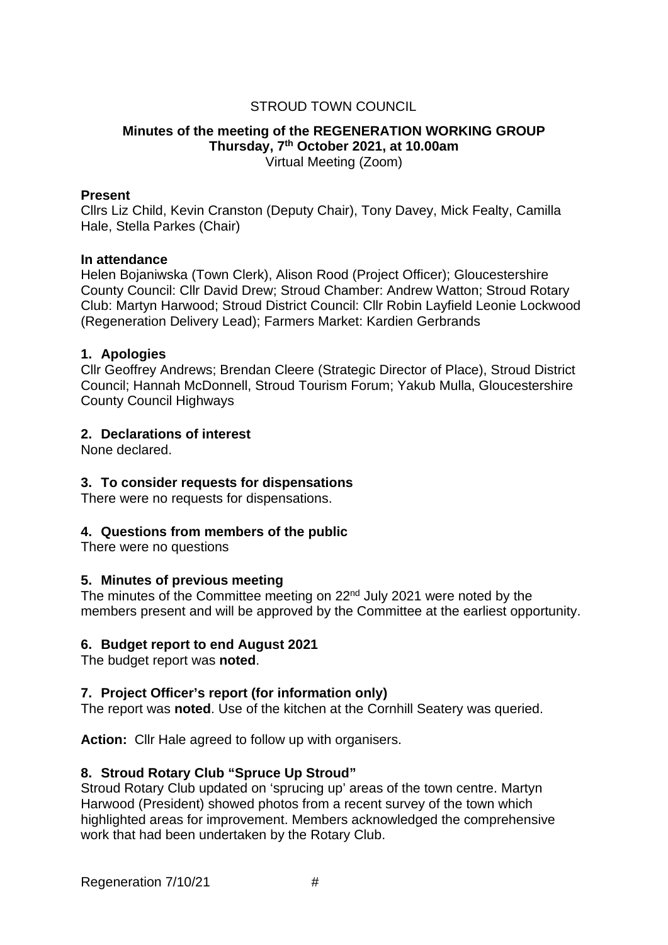# STROUD TOWN COUNCIL

#### **Minutes of the meeting of the REGENERATION WORKING GROUP Thursday, 7th October 2021, at 10.00am** Virtual Meeting (Zoom)

#### **Present**

Cllrs Liz Child, Kevin Cranston (Deputy Chair), Tony Davey, Mick Fealty, Camilla Hale, Stella Parkes (Chair)

#### **In attendance**

Helen Bojaniwska (Town Clerk), Alison Rood (Project Officer); Gloucestershire County Council: Cllr David Drew; Stroud Chamber: Andrew Watton; Stroud Rotary Club: Martyn Harwood; Stroud District Council: Cllr Robin Layfield Leonie Lockwood (Regeneration Delivery Lead); Farmers Market: Kardien Gerbrands

#### **1. Apologies**

Cllr Geoffrey Andrews; Brendan Cleere (Strategic Director of Place), Stroud District Council; Hannah McDonnell, Stroud Tourism Forum; Yakub Mulla, Gloucestershire County Council Highways

## **2. Declarations of interest**

None declared.

## **3. To consider requests for dispensations**

There were no requests for dispensations.

## **4. Questions from members of the public**

There were no questions

## **5. Minutes of previous meeting**

The minutes of the Committee meeting on 22<sup>nd</sup> July 2021 were noted by the members present and will be approved by the Committee at the earliest opportunity.

## **6. Budget report to end August 2021**

The budget report was **noted**.

## **7. Project Officer's report (for information only)**

The report was **noted**. Use of the kitchen at the Cornhill Seatery was queried.

**Action:** Cllr Hale agreed to follow up with organisers.

## **8. Stroud Rotary Club "Spruce Up Stroud"**

Stroud Rotary Club updated on 'sprucing up' areas of the town centre. Martyn Harwood (President) showed photos from a recent survey of the town which highlighted areas for improvement. Members acknowledged the comprehensive work that had been undertaken by the Rotary Club.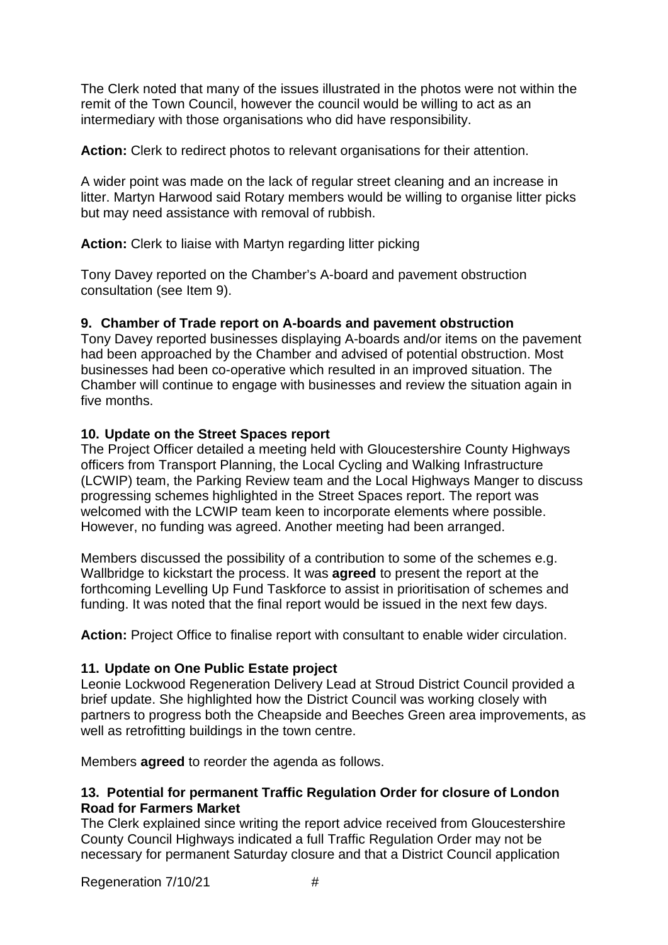The Clerk noted that many of the issues illustrated in the photos were not within the remit of the Town Council, however the council would be willing to act as an intermediary with those organisations who did have responsibility.

**Action:** Clerk to redirect photos to relevant organisations for their attention.

A wider point was made on the lack of regular street cleaning and an increase in litter. Martyn Harwood said Rotary members would be willing to organise litter picks but may need assistance with removal of rubbish.

**Action:** Clerk to liaise with Martyn regarding litter picking

Tony Davey reported on the Chamber's A-board and pavement obstruction consultation (see Item 9).

# **9. Chamber of Trade report on A-boards and pavement obstruction**

Tony Davey reported businesses displaying A-boards and/or items on the pavement had been approached by the Chamber and advised of potential obstruction. Most businesses had been co-operative which resulted in an improved situation. The Chamber will continue to engage with businesses and review the situation again in five months.

# **10. Update on the Street Spaces report**

The Project Officer detailed a meeting held with Gloucestershire County Highways officers from Transport Planning, the Local Cycling and Walking Infrastructure (LCWIP) team, the Parking Review team and the Local Highways Manger to discuss progressing schemes highlighted in the Street Spaces report. The report was welcomed with the LCWIP team keen to incorporate elements where possible. However, no funding was agreed. Another meeting had been arranged.

Members discussed the possibility of a contribution to some of the schemes e.g. Wallbridge to kickstart the process. It was **agreed** to present the report at the forthcoming Levelling Up Fund Taskforce to assist in prioritisation of schemes and funding. It was noted that the final report would be issued in the next few days.

**Action:** Project Office to finalise report with consultant to enable wider circulation.

## **11. Update on One Public Estate project**

Leonie Lockwood Regeneration Delivery Lead at Stroud District Council provided a brief update. She highlighted how the District Council was working closely with partners to progress both the Cheapside and Beeches Green area improvements, as well as retrofitting buildings in the town centre.

Members **agreed** to reorder the agenda as follows.

# **13. Potential for permanent Traffic Regulation Order for closure of London Road for Farmers Market**

The Clerk explained since writing the report advice received from Gloucestershire County Council Highways indicated a full Traffic Regulation Order may not be necessary for permanent Saturday closure and that a District Council application

Regeneration 7/10/21 #